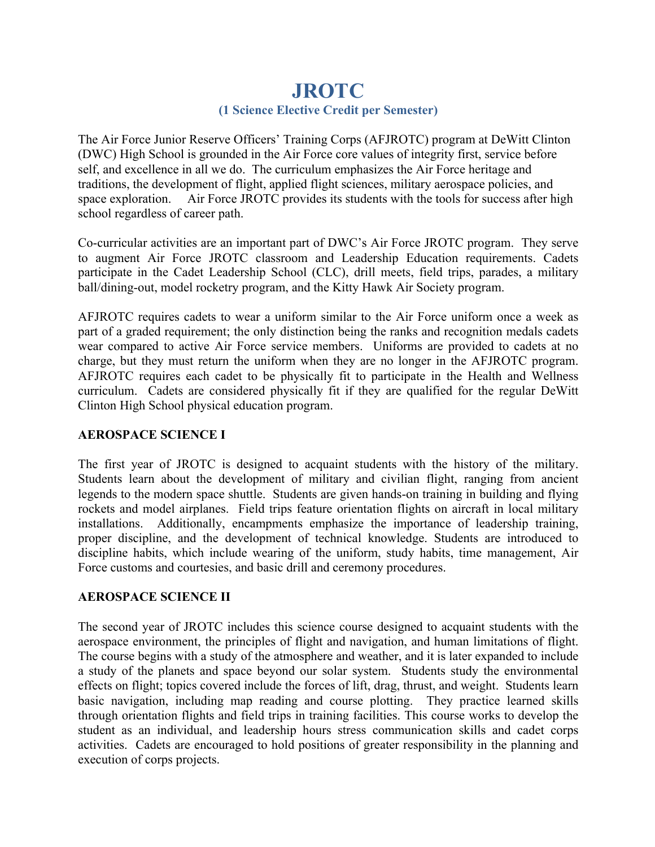# **JROTC (1 Science Elective Credit per Semester)**

The Air Force Junior Reserve Officers' Training Corps (AFJROTC) program at DeWitt Clinton (DWC) High School is grounded in the Air Force core values of integrity first, service before self, and excellence in all we do. The curriculum emphasizes the Air Force heritage and traditions, the development of flight, applied flight sciences, military aerospace policies, and space exploration. Air Force JROTC provides its students with the tools for success after high school regardless of career path.

Co-curricular activities are an important part of DWC's Air Force JROTC program. They serve to augment Air Force JROTC classroom and Leadership Education requirements. Cadets participate in the Cadet Leadership School (CLC), drill meets, field trips, parades, a military ball/dining-out, model rocketry program, and the Kitty Hawk Air Society program.

AFJROTC requires cadets to wear a uniform similar to the Air Force uniform once a week as part of a graded requirement; the only distinction being the ranks and recognition medals cadets wear compared to active Air Force service members. Uniforms are provided to cadets at no charge, but they must return the uniform when they are no longer in the AFJROTC program. AFJROTC requires each cadet to be physically fit to participate in the Health and Wellness curriculum. Cadets are considered physically fit if they are qualified for the regular DeWitt Clinton High School physical education program.

## **AEROSPACE SCIENCE I**

The first year of JROTC is designed to acquaint students with the history of the military. Students learn about the development of military and civilian flight, ranging from ancient legends to the modern space shuttle. Students are given hands-on training in building and flying rockets and model airplanes. Field trips feature orientation flights on aircraft in local military installations. Additionally, encampments emphasize the importance of leadership training, proper discipline, and the development of technical knowledge. Students are introduced to discipline habits, which include wearing of the uniform, study habits, time management, Air Force customs and courtesies, and basic drill and ceremony procedures.

## **AEROSPACE SCIENCE II**

The second year of JROTC includes this science course designed to acquaint students with the aerospace environment, the principles of flight and navigation, and human limitations of flight. The course begins with a study of the atmosphere and weather, and it is later expanded to include a study of the planets and space beyond our solar system. Students study the environmental effects on flight; topics covered include the forces of lift, drag, thrust, and weight. Students learn basic navigation, including map reading and course plotting. They practice learned skills through orientation flights and field trips in training facilities. This course works to develop the student as an individual, and leadership hours stress communication skills and cadet corps activities. Cadets are encouraged to hold positions of greater responsibility in the planning and execution of corps projects.